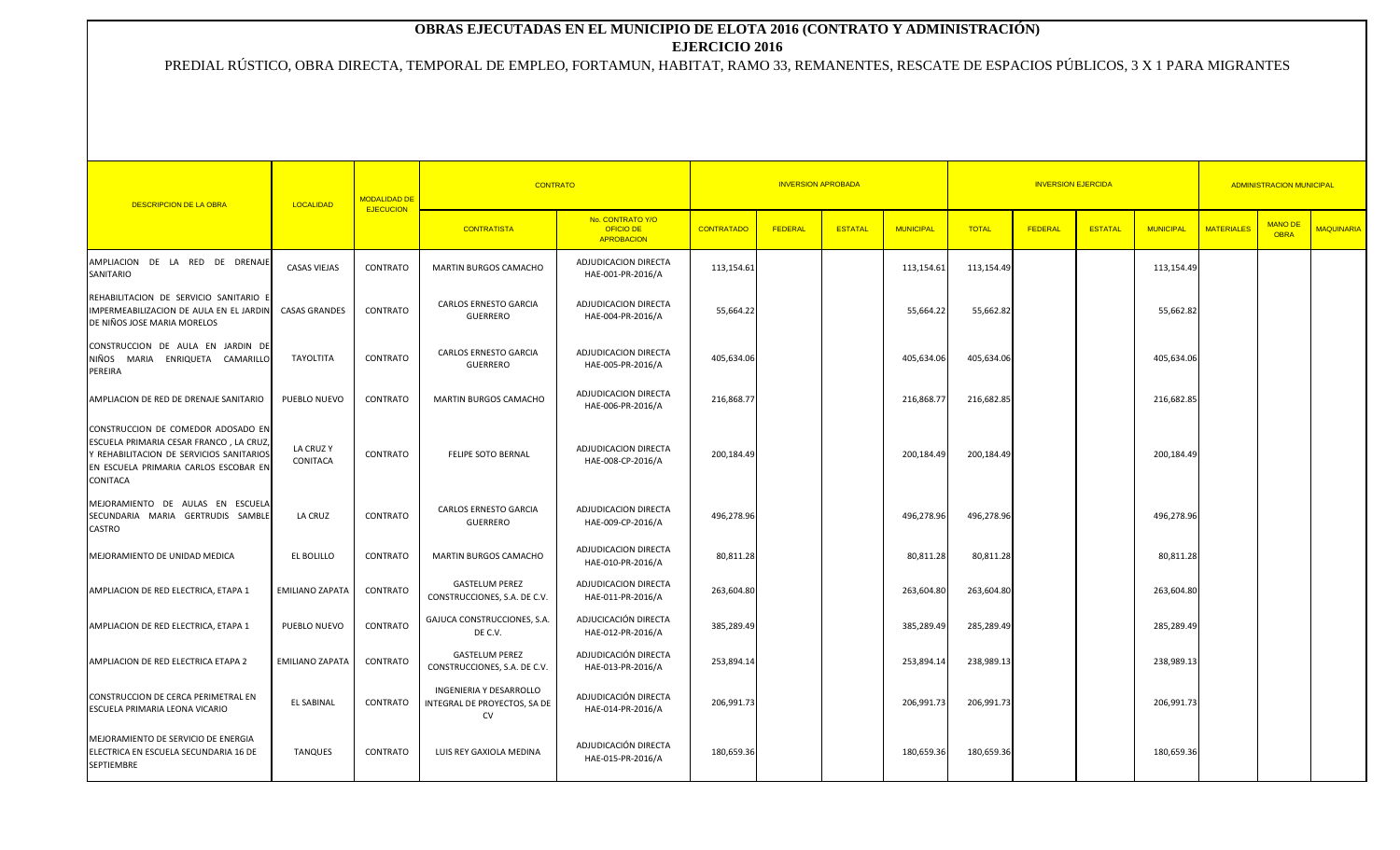## **OBRAS EJECUTADAS EN EL MUNICIPIO DE ELOTA 2016 (CONTRATO Y ADMINISTRACIÓN) EJERCICIO 2016**

## PREDIAL RÚSTICO, OBRA DIRECTA, TEMPORAL DE EMPLEO, FORTAMUN, HABITAT, RAMO 33, REMANENTES, RESCATE DE ESPACIOS PÚBLICOS, 3 X 1 PARA MIGRANTES

| <b>DESCRIPCION DE LA OBRA</b>                                                                                                                                                        | LOCALIDAD             | <b>MODALIDAD DE</b><br><b>EJECUCION</b> | <b>CONTRATO</b>                                               | <b>INVERSION APROBADA</b>                          |                   |         |                |                  | <b>ADMINISTRACION MUNICIPAL</b> |         |                |                  |                   |                               |                   |
|--------------------------------------------------------------------------------------------------------------------------------------------------------------------------------------|-----------------------|-----------------------------------------|---------------------------------------------------------------|----------------------------------------------------|-------------------|---------|----------------|------------------|---------------------------------|---------|----------------|------------------|-------------------|-------------------------------|-------------------|
|                                                                                                                                                                                      |                       |                                         | <b>CONTRATISTA</b>                                            | No. CONTRATO Y/O<br>OFICIO DE<br><b>APROBACION</b> | <b>CONTRATADO</b> | FEDERAL | <b>ESTATAL</b> | <b>MUNICIPAL</b> | <b>TOTAL</b>                    | FEDERAL | <b>ESTATAL</b> | <b>MUNICIPAL</b> | <b>MATERIALES</b> | <b>MANO DE</b><br><b>OBRA</b> | <b>MAQUINARIA</b> |
| AMPLIACION DE LA RED DE DRENAJE<br>SANITARIO                                                                                                                                         | <b>CASAS VIEJAS</b>   | CONTRATO                                | <b>MARTIN BURGOS CAMACHO</b>                                  | ADJUDICACION DIRECTA<br>HAE-001-PR-2016/A          | 113,154.61        |         |                | 113,154.61       | 113,154.49                      |         |                | 113,154.49       |                   |                               |                   |
| REHABILITACION DE SERVICIO SANITARIO I<br>IMPERMEABILIZACION DE AULA EN EL JARDIN<br>DE NIÑOS JOSE MARIA MORELOS                                                                     | <b>CASAS GRANDES</b>  | CONTRATO                                | CARLOS ERNESTO GARCIA<br><b>GUERRERO</b>                      | ADJUDICACION DIRECTA<br>HAE-004-PR-2016/A          | 55,664.22         |         |                | 55,664.22        | 55,662.82                       |         |                | 55,662.82        |                   |                               |                   |
| CONSTRUCCION DE AULA EN JARDIN DE<br>NIÑOS MARIA ENRIQUETA CAMARILLO<br>PEREIRA                                                                                                      | TAYOLTITA             | CONTRATO                                | CARLOS ERNESTO GARCIA<br><b>GUERRERO</b>                      | ADJUDICACION DIRECTA<br>HAE-005-PR-2016/A          | 405,634.06        |         |                | 405,634.06       | 405,634.06                      |         |                | 405,634.06       |                   |                               |                   |
| AMPLIACION DE RED DE DRENAJE SANITARIO                                                                                                                                               | PUEBLO NUEVO          | CONTRATO                                | MARTIN BURGOS CAMACHO                                         | ADJUDICACION DIRECTA<br>HAE-006-PR-2016/A          | 216,868.77        |         |                | 216,868.77       | 216,682.85                      |         |                | 216,682.85       |                   |                               |                   |
| CONSTRUCCION DE COMEDOR ADOSADO EN<br>ESCUELA PRIMARIA CESAR FRANCO, LA CRUZ<br>Y REHABILITACION DE SERVICIOS SANITARIOS<br>EN ESCUELA PRIMARIA CARLOS ESCOBAR EN<br><b>CONITACA</b> | LA CRUZ Y<br>CONITACA | CONTRATO                                | <b>FELIPE SOTO BERNAL</b>                                     | ADJUDICACION DIRECTA<br>HAE-008-CP-2016/A          | 200,184.49        |         |                | 200,184.49       | 200,184.49                      |         |                | 200,184.49       |                   |                               |                   |
| MEJORAMIENTO DE AULAS EN ESCUELA<br>SECUNDARIA MARIA GERTRUDIS SAMBLE<br>CASTRO                                                                                                      | LA CRUZ               | CONTRATO                                | <b>CARLOS ERNESTO GARCIA</b><br><b>GUERRERO</b>               | ADJUDICACION DIRECTA<br>HAE-009-CP-2016/A          | 496,278.96        |         |                | 496,278.96       | 496,278.96                      |         |                | 496,278.96       |                   |                               |                   |
| MEJORAMIENTO DE UNIDAD MEDICA                                                                                                                                                        | EL BOLILLO            | CONTRATO                                | <b>MARTIN BURGOS CAMACHO</b>                                  | ADJUDICACION DIRECTA<br>HAE-010-PR-2016/A          | 80,811.28         |         |                | 80,811.28        | 80,811.28                       |         |                | 80,811.28        |                   |                               |                   |
| AMPLIACION DE RED ELECTRICA, ETAPA 1                                                                                                                                                 | EMILIANO ZAPATA       | CONTRATO                                | <b>GASTELUM PEREZ</b><br>CONSTRUCCIONES, S.A. DE C.V.         | ADJUDICACION DIRECTA<br>HAE-011-PR-2016/A          | 263,604.80        |         |                | 263,604.80       | 263,604.80                      |         |                | 263,604.80       |                   |                               |                   |
| AMPLIACION DE RED ELECTRICA, ETAPA 1                                                                                                                                                 | PUEBLO NUEVO          | CONTRATO                                | GAJUCA CONSTRUCCIONES, S.A.<br>DE C.V.                        | ADJUCICACIÓN DIRECTA<br>HAE-012-PR-2016/A          | 385,289.49        |         |                | 385,289.49       | 285,289.49                      |         |                | 285,289.49       |                   |                               |                   |
| AMPLIACION DE RED ELECTRICA ETAPA 2                                                                                                                                                  | EMILIANO ZAPATA       | CONTRATO                                | <b>GASTELUM PEREZ</b><br>CONSTRUCCIONES, S.A. DE C.V.         | ADJUDICACIÓN DIRECTA<br>HAE-013-PR-2016/A          | 253,894.14        |         |                | 253,894.14       | 238,989.13                      |         |                | 238,989.13       |                   |                               |                   |
| CONSTRUCCION DE CERCA PERIMETRAL EN<br>ESCUELA PRIMARIA LEONA VICARIO                                                                                                                | <b>EL SABINAL</b>     | CONTRATO                                | INGENIERIA Y DESARROLLO<br>INTEGRAL DE PROYECTOS, SA DE<br>CV | ADJUDICACIÓN DIRECTA<br>HAE-014-PR-2016/A          | 206,991.73        |         |                | 206,991.73       | 206,991.73                      |         |                | 206,991.73       |                   |                               |                   |
| MEJORAMIENTO DE SERVICIO DE ENERGIA<br>ELECTRICA EN ESCUELA SECUNDARIA 16 DE<br><b>SEPTIEMBRE</b>                                                                                    | <b>TANQUES</b>        | CONTRATO                                | LUIS REY GAXIOLA MEDINA                                       | ADJUDICACIÓN DIRECTA<br>HAE-015-PR-2016/A          | 180,659.36        |         |                | 180,659.36       | 180,659.36                      |         |                | 180,659.36       |                   |                               |                   |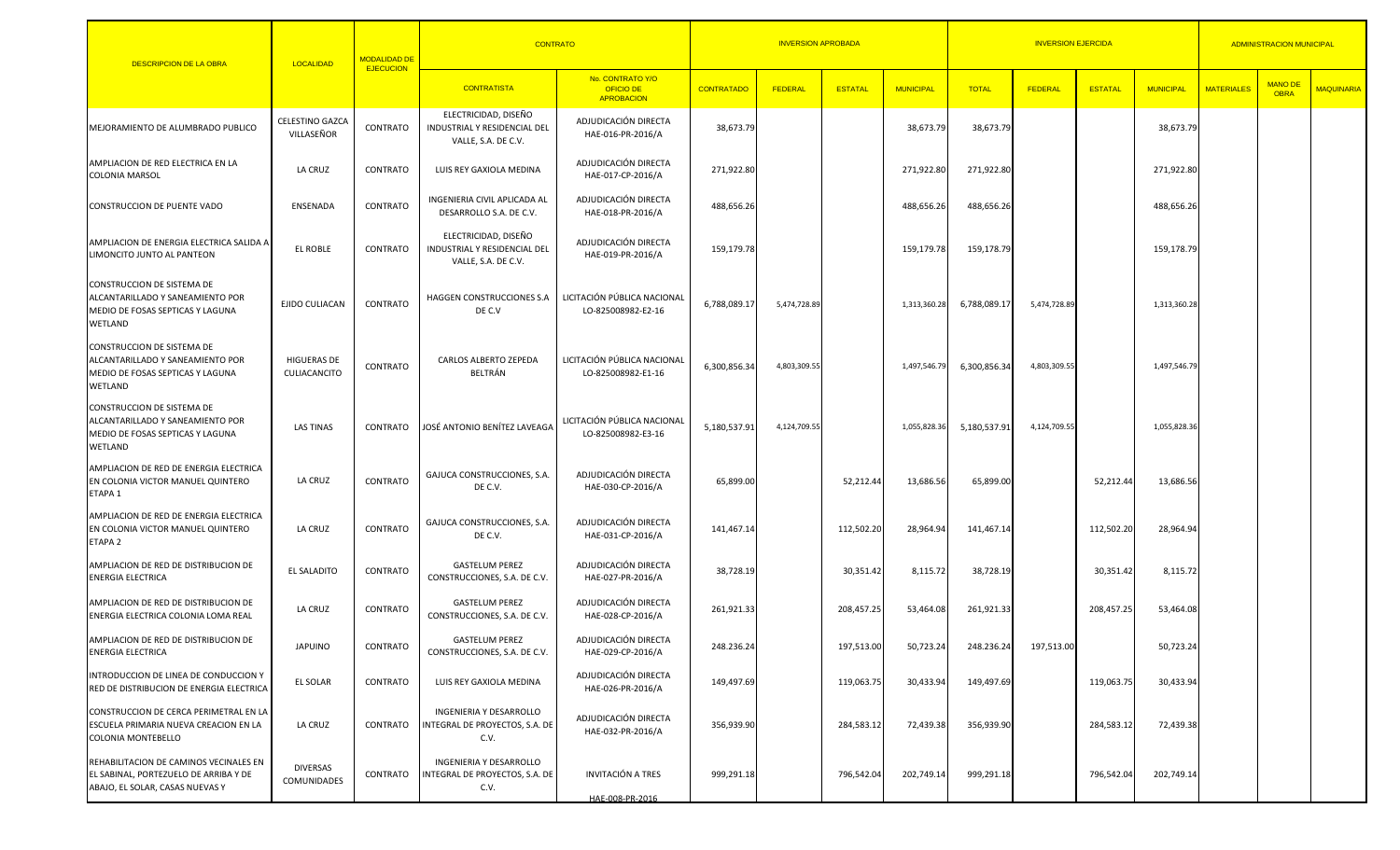| DESCRIPCION DE LA OBRA                                                                                             | LOCALIDAD                            | <b>MODALIDAD DE</b> | <b>CONTRATO</b>                                                             |                                                           |                   | <b>INVERSION APROBADA</b> |                |                  |              | <b>INVERSION EJERCIDA</b> | <b>ADMINISTRACION MUNICIPAL</b> |                  |                   |                               |                   |
|--------------------------------------------------------------------------------------------------------------------|--------------------------------------|---------------------|-----------------------------------------------------------------------------|-----------------------------------------------------------|-------------------|---------------------------|----------------|------------------|--------------|---------------------------|---------------------------------|------------------|-------------------|-------------------------------|-------------------|
|                                                                                                                    |                                      | <b>EJECUCION</b>    | <b>CONTRATISTA</b>                                                          | No. CONTRATO Y/O<br><b>OFICIO DE</b><br><b>APROBACION</b> | <b>CONTRATADO</b> | <b>FEDERAL</b>            | <b>ESTATAL</b> | <b>MUNICIPAL</b> | <b>TOTAL</b> | FEDERAL                   | <b>ESTATAL</b>                  | <b>MUNICIPAL</b> | <b>MATERIALES</b> | <b>MANO DE</b><br><b>OBRA</b> | <b>MAQUINARIA</b> |
| MEJORAMIENTO DE ALUMBRADO PUBLICO                                                                                  | <b>CELESTINO GAZCA</b><br>VILLASEÑOR | CONTRATO            | ELECTRICIDAD, DISEÑO<br>INDUSTRIAL Y RESIDENCIAL DEL<br>VALLE, S.A. DE C.V. | ADJUDICACIÓN DIRECTA<br>HAE-016-PR-2016/A                 | 38,673.79         |                           |                | 38,673.79        | 38,673.79    |                           |                                 | 38,673.79        |                   |                               |                   |
| AMPLIACION DE RED ELECTRICA EN LA<br><b>COLONIA MARSOL</b>                                                         | LA CRUZ                              | CONTRATO            | LUIS REY GAXIOLA MEDINA                                                     | ADJUDICACIÓN DIRECTA<br>HAE-017-CP-2016/A                 | 271,922.80        |                           |                | 271,922.80       | 271,922.80   |                           |                                 | 271,922.80       |                   |                               |                   |
| CONSTRUCCION DE PUENTE VADO                                                                                        | ENSENADA                             | CONTRATO            | INGENIERIA CIVIL APLICADA AL<br>DESARROLLO S.A. DE C.V.                     | ADJUDICACIÓN DIRECTA<br>HAE-018-PR-2016/A                 | 488,656.26        |                           |                | 488,656.26       | 488,656.26   |                           |                                 | 488,656.26       |                   |                               |                   |
| AMPLIACION DE ENERGIA ELECTRICA SALIDA A<br>LIMONCITO JUNTO AL PANTEON                                             | EL ROBLE                             | CONTRATO            | ELECTRICIDAD, DISEÑO<br>INDUSTRIAL Y RESIDENCIAL DEL<br>VALLE, S.A. DE C.V. | ADJUDICACIÓN DIRECTA<br>HAE-019-PR-2016/A                 | 159,179.78        |                           |                | 159,179.78       | 159,178.79   |                           |                                 | 159,178.79       |                   |                               |                   |
| CONSTRUCCION DE SISTEMA DE<br>ALCANTARILLADO Y SANEAMIENTO POR<br>MEDIO DE FOSAS SEPTICAS Y LAGUNA<br>WETLAND      | EJIDO CULIACAN                       | CONTRATO            | HAGGEN CONSTRUCCIONES S.A<br>DE C.V                                         | LICITACIÓN PÚBLICA NACIONAL<br>LO-825008982-E2-16         | 6,788,089.17      | 5,474,728.89              |                | 1,313,360.28     | 6,788,089.17 | 5,474,728.89              |                                 | 1,313,360.28     |                   |                               |                   |
| CONSTRUCCION DE SISTEMA DE<br>ALCANTARILLADO Y SANEAMIENTO POR<br>MEDIO DE FOSAS SEPTICAS Y LAGUNA<br>WETLAND      | HIGUERAS DE<br>CULIACANCITO          | CONTRATO            | CARLOS ALBERTO ZEPEDA<br>BELTRÁN                                            | LICITACIÓN PÚBLICA NACIONAL<br>LO-825008982-E1-16         | 6,300,856.34      | 4,803,309.55              |                | 1,497,546.79     | 6,300,856.34 | 4,803,309.55              |                                 | 1,497,546.79     |                   |                               |                   |
| CONSTRUCCION DE SISTEMA DE<br>ALCANTARILLADO Y SANEAMIENTO POR<br>MEDIO DE FOSAS SEPTICAS Y LAGUNA<br>WETLAND      | <b>LAS TINAS</b>                     | CONTRATO            | JOSÉ ANTONIO BENÍTEZ LAVEAGA                                                | LICITACIÓN PÚBLICA NACIONAL<br>LO-825008982-E3-16         | 5,180,537.91      | 4,124,709.55              |                | 1,055,828.36     | 5,180,537.91 | 4,124,709.55              |                                 | 1,055,828.36     |                   |                               |                   |
| AMPLIACION DE RED DE ENERGIA ELECTRICA<br>EN COLONIA VICTOR MANUEL QUINTERO<br>ETAPA 1                             | LA CRUZ                              | CONTRATO            | GAJUCA CONSTRUCCIONES, S.A.<br>DE C.V.                                      | ADJUDICACIÓN DIRECTA<br>HAE-030-CP-2016/A                 | 65,899.00         |                           | 52,212.44      | 13,686.56        | 65,899.00    |                           | 52,212.44                       | 13,686.56        |                   |                               |                   |
| AMPLIACION DE RED DE ENERGIA ELECTRICA<br>EN COLONIA VICTOR MANUEL QUINTERO<br>ETAPA <sub>2</sub>                  | LA CRUZ                              | CONTRATO            | GAJUCA CONSTRUCCIONES, S.A<br>DE C.V.                                       | ADJUDICACIÓN DIRECTA<br>HAE-031-CP-2016/A                 | 141,467.14        |                           | 112,502.20     | 28,964.94        | 141,467.14   |                           | 112,502.20                      | 28,964.94        |                   |                               |                   |
| AMPLIACION DE RED DE DISTRIBUCION DE<br><b>ENERGIA ELECTRICA</b>                                                   | EL SALADITO                          | CONTRATO            | <b>GASTELUM PEREZ</b><br>CONSTRUCCIONES, S.A. DE C.V.                       | ADJUDICACIÓN DIRECTA<br>HAE-027-PR-2016/A                 | 38,728.19         |                           | 30,351.42      | 8,115.72         | 38,728.19    |                           | 30,351.42                       | 8,115.72         |                   |                               |                   |
| AMPLIACION DE RED DE DISTRIBUCION DE<br>ENERGIA ELECTRICA COLONIA LOMA REAL                                        | LA CRUZ                              | CONTRATO            | <b>GASTELUM PEREZ</b><br>CONSTRUCCIONES, S.A. DE C.V.                       | ADJUDICACIÓN DIRECTA<br>HAE-028-CP-2016/A                 | 261,921.33        |                           | 208,457.25     | 53,464.08        | 261,921.33   |                           | 208,457.25                      | 53,464.08        |                   |                               |                   |
| AMPLIACION DE RED DE DISTRIBUCION DE<br><b>ENERGIA ELECTRICA</b>                                                   | <b>JAPUINO</b>                       | CONTRATO            | <b>GASTELUM PEREZ</b><br>CONSTRUCCIONES, S.A. DE C.V.                       | ADJUDICACIÓN DIRECTA<br>HAE-029-CP-2016/A                 | 248.236.24        |                           | 197,513.00     | 50,723.24        | 248.236.24   | 197,513.00                |                                 | 50,723.24        |                   |                               |                   |
| INTRODUCCION DE LINEA DE CONDUCCION Y<br>RED DE DISTRIBUCION DE ENERGIA ELECTRICA                                  | EL SOLAR                             | CONTRATO            | LUIS REY GAXIOLA MEDINA                                                     | ADJUDICACIÓN DIRECTA<br>HAE-026-PR-2016/A                 | 149,497.69        |                           | 119,063.75     | 30,433.94        | 149,497.69   |                           | 119,063.75                      | 30,433.94        |                   |                               |                   |
| CONSTRUCCION DE CERCA PERIMETRAL EN LA<br>ESCUELA PRIMARIA NUEVA CREACION EN LA<br>COLONIA MONTEBELLO              | LA CRUZ                              | CONTRATO            | INGENIERIA Y DESARROLLO<br>INTEGRAL DE PROYECTOS, S.A. DE<br>C.V.           | ADJUDICACIÓN DIRECTA<br>HAE-032-PR-2016/A                 | 356,939.90        |                           | 284,583.12     | 72,439.38        | 356,939.90   |                           | 284,583.12                      | 72,439.38        |                   |                               |                   |
| REHABILITACION DE CAMINOS VECINALES EN<br>EL SABINAL, PORTEZUELO DE ARRIBA Y DE<br>ABAJO, EL SOLAR, CASAS NUEVAS Y | <b>DIVERSAS</b><br>COMUNIDADES       | CONTRATO            | INGENIERIA Y DESARROLLO<br>INTEGRAL DE PROYECTOS, S.A. DE<br>C.V.           | <b>INVITACIÓN A TRES</b><br>HAE-008-PR-2016               | 999,291.18        |                           | 796,542.04     | 202,749.14       | 999,291.18   |                           | 796,542.04                      | 202,749.14       |                   |                               |                   |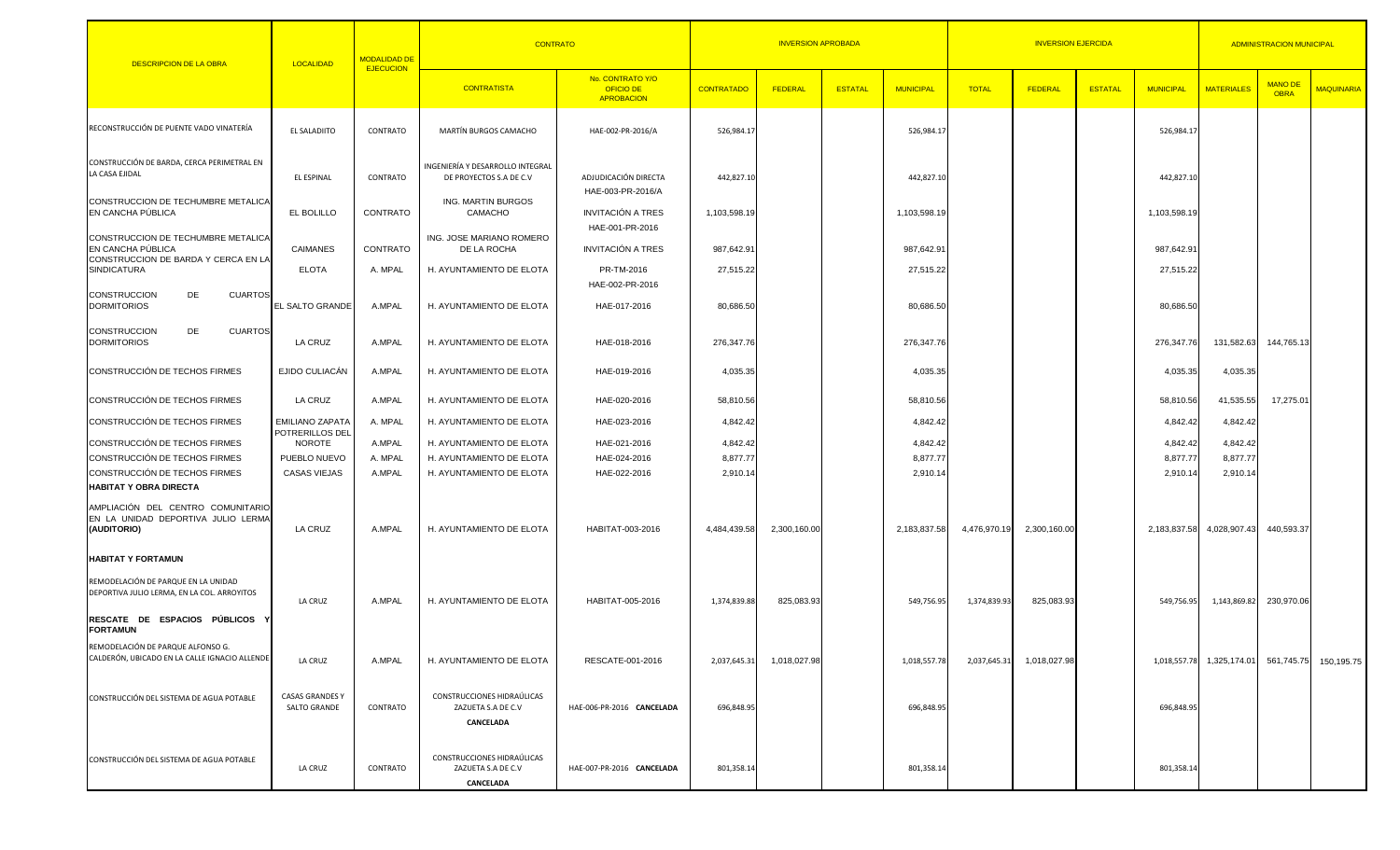| <b>DESCRIPCION DE LA OBRA</b>                                                                  | LOCALIDAD                                 | <b>MODALIDAD DE</b> | <b>CONTRATO</b>                                               | <b>INVERSION APROBADA</b>                                 |                        |              |                |                        | <b>INVERSION EJERCIDA</b> | <b>ADMINISTRACION MUNICIPAL</b> |                |                        |                             |                               |                   |
|------------------------------------------------------------------------------------------------|-------------------------------------------|---------------------|---------------------------------------------------------------|-----------------------------------------------------------|------------------------|--------------|----------------|------------------------|---------------------------|---------------------------------|----------------|------------------------|-----------------------------|-------------------------------|-------------------|
|                                                                                                |                                           | <b>EJECUCION</b>    | <b>CONTRATISTA</b>                                            | No. CONTRATO Y/O<br><b>OFICIO DE</b><br><b>APROBACION</b> | <b>CONTRATADO</b>      | FEDERAL      | <b>ESTATAL</b> | <b>MUNICIPAL</b>       | <b>TOTAL</b>              | FEDERAL                         | <b>ESTATAL</b> | <b>MUNICIPAL</b>       | <b>MATERIALES</b>           | <b>MANO DE</b><br><b>OBRA</b> | <b>MAQUINARIA</b> |
| RECONSTRUCCIÓN DE PUENTE VADO VINATERÍA                                                        | EL SALADIITO                              | CONTRATO            | MARTÍN BURGOS CAMACHO                                         | HAE-002-PR-2016/A                                         | 526,984.17             |              |                | 526,984.1              |                           |                                 |                | 526,984.17             |                             |                               |                   |
| CONSTRUCCIÓN DE BARDA, CERCA PERIMETRAL EN<br>LA CASA EJIDAL                                   | EL ESPINAL                                | CONTRATO            | INGENIERÍA Y DESARROLLO INTEGRAL<br>DE PROYECTOS S.A DE C.V   | ADJUDICACIÓN DIRECTA<br>HAE-003-PR-2016/A                 | 442,827.10             |              |                | 442,827.10             |                           |                                 |                | 442,827.10             |                             |                               |                   |
| CONSTRUCCION DE TECHUMBRE METALICA<br>EN CANCHA PÚBLICA                                        | EL BOLILLO                                | CONTRATO            | <b>ING. MARTIN BURGOS</b><br>CAMACHO                          | <b>INVITACIÓN A TRES</b><br>HAE-001-PR-2016               | 1,103,598.19           |              |                | 1,103,598.19           |                           |                                 |                | 1,103,598.19           |                             |                               |                   |
| CONSTRUCCION DE TECHUMBRE METALICA<br>EN CANCHA PÚBLICA<br>CONSTRUCCION DE BARDA Y CERCA EN LA | CAIMANES                                  | CONTRATO            | ING. JOSE MARIANO ROMERO<br>DE LA ROCHA                       | <b>INVITACIÓN A TRES</b>                                  | 987,642.91             |              |                | 987,642.91             |                           |                                 |                | 987,642.91             |                             |                               |                   |
| <b>SINDICATURA</b><br><b>CUARTOS</b><br><b>CONSTRUCCION</b><br>DE                              | <b>ELOTA</b>                              | A. MPAL             | H. AYUNTAMIENTO DE ELOTA                                      | PR-TM-2016<br>HAE-002-PR-2016                             | 27,515.22              |              |                | 27,515.22              |                           |                                 |                | 27,515.22              |                             |                               |                   |
| <b>DORMITORIOS</b><br><b>CUARTOS</b><br><b>CONSTRUCCION</b><br>DE                              | <b>EL SALTO GRANDE</b>                    | A.MPAL              | H. AYUNTAMIENTO DE ELOTA                                      | HAE-017-2016                                              | 80,686.50              |              |                | 80,686.50              |                           |                                 |                | 80,686.50              |                             |                               |                   |
| <b>DORMITORIOS</b><br>CONSTRUCCIÓN DE TECHOS FIRMES                                            | LA CRUZ<br>EJIDO CULIACÁN                 | A.MPAL<br>A.MPAL    | H. AYUNTAMIENTO DE ELOTA<br>H. AYUNTAMIENTO DE ELOTA          | HAE-018-2016<br>HAE-019-2016                              | 276,347.76<br>4,035.35 |              |                | 276,347.76<br>4,035.35 |                           |                                 |                | 276,347.76<br>4,035.35 | 131,582.63<br>4,035.35      | 144,765.13                    |                   |
| CONSTRUCCIÓN DE TECHOS FIRMES                                                                  | LA CRUZ                                   | A.MPAL              | H. AYUNTAMIENTO DE ELOTA                                      | HAE-020-2016                                              | 58,810.56              |              |                | 58,810.56              |                           |                                 |                | 58,810.56              | 41,535.55                   | 17,275.01                     |                   |
| CONSTRUCCIÓN DE TECHOS FIRMES                                                                  | <b>EMILIANO ZAPATA</b><br>POTRERILLOS DEL | A. MPAL             | H. AYUNTAMIENTO DE ELOTA                                      | HAE-023-2016                                              | 4,842.42               |              |                | 4,842.42               |                           |                                 |                | 4,842.42               | 4,842.42                    |                               |                   |
| CONSTRUCCIÓN DE TECHOS FIRMES<br>CONSTRUCCIÓN DE TECHOS FIRMES                                 | NOROTE<br>PUEBLO NUEVO                    | A.MPAL<br>A. MPAL   | H. AYUNTAMIENTO DE ELOTA<br>H. AYUNTAMIENTO DE ELOTA          | HAE-021-2016<br>HAE-024-2016                              | 4,842.42<br>8,877.77   |              |                | 4,842.42<br>8,877.77   |                           |                                 |                | 4,842.42<br>8,877.77   | 4,842.42<br>8,877.77        |                               |                   |
| CONSTRUCCIÓN DE TECHOS FIRMES                                                                  | CASAS VIEJAS                              | A.MPAL              | H. AYUNTAMIENTO DE ELOTA                                      | HAE-022-2016                                              | 2,910.14               |              |                | 2,910.14               |                           |                                 |                | 2,910.14               | 2,910.14                    |                               |                   |
| <b>HABITAT Y OBRA DIRECTA</b>                                                                  |                                           |                     |                                                               |                                                           |                        |              |                |                        |                           |                                 |                |                        |                             |                               |                   |
| AMPLIACIÓN DEL CENTRO COMUNITARIO<br>EN LA UNIDAD DEPORTIVA JULIO LERMA<br>(AUDITORIO)         | LA CRUZ                                   | A.MPAL              | H. AYUNTAMIENTO DE ELOTA                                      | HABITAT-003-2016                                          | 4,484,439.58           | 2,300,160.00 |                | 2,183,837.58           | 4,476,970.19              | 2,300,160.00                    |                |                        | 2,183,837.58 4,028,907.43   | 440,593.37                    |                   |
| <b>HABITAT Y FORTAMUN</b>                                                                      |                                           |                     |                                                               |                                                           |                        |              |                |                        |                           |                                 |                |                        |                             |                               |                   |
| REMODELACIÓN DE PARQUE EN LA UNIDAD<br>DEPORTIVA JULIO LERMA, EN LA COL. ARROYITOS             | LA CRUZ                                   | A.MPAL              | H. AYUNTAMIENTO DE ELOTA                                      | HABITAT-005-2016                                          | 1,374,839.88           | 825,083.93   |                | 549,756.95             | 1,374,839.93              | 825,083.93                      |                | 549,756.95             | 1,143,869.82                | 230,970.06                    |                   |
| RESCATE DE ESPACIOS PÚBLICOS<br><b>FORTAMUN</b>                                                |                                           |                     |                                                               |                                                           |                        |              |                |                        |                           |                                 |                |                        |                             |                               |                   |
| REMODELACIÓN DE PARQUE ALFONSO G.<br>CALDERÓN, UBICADO EN LA CALLE IGNACIO ALLENDE             | LA CRUZ                                   | A.MPAL              | H. AYUNTAMIENTO DE ELOTA                                      | RESCATE-001-2016                                          | 2,037,645.31           | 1,018,027.98 |                | 1,018,557.78           | 2,037,645.31              | 1,018,027.98                    |                |                        | 1,018,557.78   1,325,174.01 | 561,745.75                    | 150,195.75        |
| CONSTRUCCIÓN DEL SISTEMA DE AGUA POTABLE                                                       | <b>CASAS GRANDES Y</b><br>SALTO GRANDE    | CONTRATO            | CONSTRUCCIONES HIDRAÚLICAS<br>ZAZUETA S.A DE C.V<br>CANCELADA | HAE-006-PR-2016 CANCELADA                                 | 696,848.95             |              |                | 696,848.95             |                           |                                 |                | 696,848.95             |                             |                               |                   |
| CONSTRUCCIÓN DEL SISTEMA DE AGUA POTABLE                                                       | LA CRUZ                                   | CONTRATO            | CONSTRUCCIONES HIDRAÚLICAS<br>ZAZUETA S.A DE C.V<br>CANCELADA | HAE-007-PR-2016 CANCELADA                                 | 801,358.14             |              |                | 801,358.14             |                           |                                 |                | 801,358.14             |                             |                               |                   |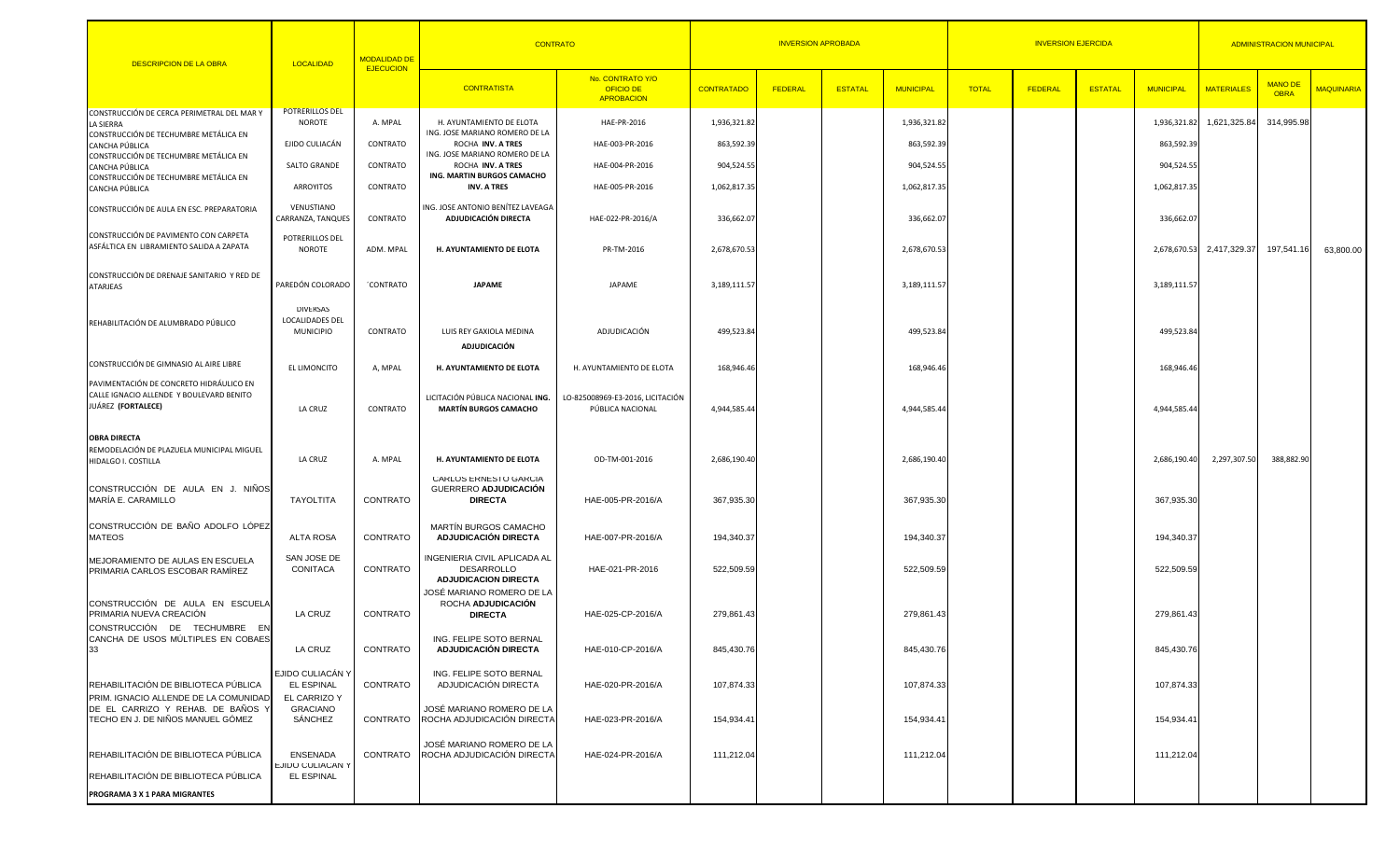| <b>DESCRIPCION DE LA OBRA</b>                                                                             | <b>LOCALIDAD</b>                                | <b>MODALIDAD DE</b> | <b>CONTRATO</b>                                                                  | <b>INVERSION APROBADA</b>                                 |                   |         |                |                  | <b>ADMINISTRACION MUNICIPAL</b> |         |                |                  |                   |                               |                   |
|-----------------------------------------------------------------------------------------------------------|-------------------------------------------------|---------------------|----------------------------------------------------------------------------------|-----------------------------------------------------------|-------------------|---------|----------------|------------------|---------------------------------|---------|----------------|------------------|-------------------|-------------------------------|-------------------|
|                                                                                                           |                                                 | <b>EJECUCION</b>    | <b>CONTRATISTA</b>                                                               | No. CONTRATO Y/O<br><b>OFICIO DE</b><br><b>APROBACION</b> | <b>CONTRATADO</b> | FEDERAL | <b>ESTATAL</b> | <b>MUNICIPAL</b> | <b>TOTAL</b>                    | FEDERAL | <b>ESTATAL</b> | <b>MUNICIPAL</b> | <b>MATERIALES</b> | <b>MANO DE</b><br><b>OBRA</b> | <b>MAQUINARIA</b> |
| CONSTRUCCIÓN DE CERCA PERIMETRAL DEL MAR Y<br>LA SIERRA                                                   | POTRERILLOS DEL<br>NOROTE                       | A. MPAL             | H. AYUNTAMIENTO DE ELOTA                                                         | HAE-PR-2016                                               | 1,936,321.8       |         |                | 1,936,321.8      |                                 |         |                | 1,936,321.82     | 1,621,325.84      | 314,995.98                    |                   |
| CONSTRUCCIÓN DE TECHUMBRE METÁLICA EN                                                                     | EJIDO CULIACÁN                                  | CONTRATO            | ING. JOSE MARIANO ROMERO DE LA                                                   | HAE-003-PR-2016                                           | 863,592.39        |         |                | 863,592.39       |                                 |         |                | 863,592.39       |                   |                               |                   |
| CANCHA PÚBLICA<br>CONSTRUCCIÓN DE TECHUMBRE METÁLICA EN                                                   |                                                 |                     | ROCHA INV. A TRES<br>ING. JOSE MARIANO ROMERO DE LA                              |                                                           |                   |         |                |                  |                                 |         |                |                  |                   |                               |                   |
| CANCHA PÚBLICA<br>CONSTRUCCIÓN DE TECHUMBRE METÁLICA EN                                                   | SALTO GRANDE                                    | CONTRATO            | ROCHA INV. A TRES<br>ING. MARTIN BURGOS CAMACHO                                  | HAE-004-PR-2016                                           | 904,524.55        |         |                | 904,524.55       |                                 |         |                | 904,524.55       |                   |                               |                   |
| CANCHA PÚBLICA                                                                                            | ARROYITOS                                       | CONTRATO            | INV. A TRES                                                                      | HAE-005-PR-2016                                           | 1,062,817.35      |         |                | 1,062,817.35     |                                 |         |                | 1,062,817.35     |                   |                               |                   |
| CONSTRUCCIÓN DE AULA EN ESC. PREPARATORIA                                                                 | VENUSTIANO<br>CARRANZA, TANQUES                 | CONTRATO            | ING. JOSE ANTONIO BENÍTEZ LAVEAGA<br>ADJUDICACIÓN DIRECTA                        | HAE-022-PR-2016/A                                         | 336,662.07        |         |                | 336,662.07       |                                 |         |                | 336,662.07       |                   |                               |                   |
| CONSTRUCCIÓN DE PAVIMENTO CON CARPETA<br>ASFÁLTICA EN LIBRAMIENTO SALIDA A ZAPATA                         | POTRERILLOS DEL<br>NOROTE                       | ADM. MPAL           | H. AYUNTAMIENTO DE ELOTA                                                         | PR-TM-2016                                                | 2,678,670.53      |         |                | 2,678,670.53     |                                 |         |                | 2,678,670.53     | 2,417,329.37      | 197,541.16                    | 63,800.00         |
| CONSTRUCCIÓN DE DRENAJE SANITARIO Y RED DE<br>ATARJEAS                                                    | PAREDÓN COLORADO                                | 'CONTRATO           | <b>JAPAME</b>                                                                    | JAPAME                                                    | 3,189,111.5       |         |                | 3,189,111.57     |                                 |         |                | 3,189,111.57     |                   |                               |                   |
| REHABILITACIÓN DE ALUMBRADO PÚBLICO                                                                       | DIVERSAS<br>LOCALIDADES DEL<br><b>MUNICIPIO</b> | CONTRATO            | LUIS REY GAXIOLA MEDINA<br><b>ADJUDICACIÓN</b>                                   | ADJUDICACIÓN                                              | 499,523.84        |         |                | 499,523.84       |                                 |         |                | 499,523.84       |                   |                               |                   |
| CONSTRUCCIÓN DE GIMNASIO AL AIRE LIBRE                                                                    | EL LIMONCITO                                    | A, MPAL             | H. AYUNTAMIENTO DE ELOTA                                                         | H. AYUNTAMIENTO DE ELOTA                                  | 168,946.46        |         |                | 168,946.46       |                                 |         |                | 168,946.46       |                   |                               |                   |
| PAVIMENTACIÓN DE CONCRETO HIDRÁULICO EN<br>CALLE IGNACIO ALLENDE Y BOULEVARD BENITO<br>JUÁREZ (FORTALECE) | LA CRUZ                                         | CONTRATO            | LICITACIÓN PÚBLICA NACIONAL ING.<br><b>MARTÍN BURGOS CAMACHO</b>                 | LO-825008969-E3-2016, LICITACIÓN<br>PÚBLICA NACIONAL      | 4,944,585.44      |         |                | 4,944,585.44     |                                 |         |                | 4,944,585.44     |                   |                               |                   |
| <b>OBRA DIRECTA</b><br>REMODELACIÓN DE PLAZUELA MUNICIPAL MIGUEL<br>HIDALGO I. COSTILLA                   | LA CRUZ                                         | A. MPAL             | H. AYUNTAMIENTO DE ELOTA                                                         | OD-TM-001-2016                                            | 2,686,190.40      |         |                | 2,686,190.40     |                                 |         |                | 2,686,190.40     | 2,297,307.50      | 388,882.90                    |                   |
| CONSTRUCCIÓN DE AULA EN J. NIÑOS<br>MARÍA E. CARAMILLO                                                    | TAYOLTITA                                       | CONTRATO            | <b>CARLOS ERNESTO GARCIA</b><br>GUERRERO ADJUDICACIÓN<br><b>DIRECTA</b>          | HAE-005-PR-2016/A                                         | 367,935.30        |         |                | 367,935.30       |                                 |         |                | 367,935.30       |                   |                               |                   |
| CONSTRUCCIÓN DE BAÑO ADOLFO LÓPEZ<br>MATEOS                                                               | ALTA ROSA                                       | CONTRATO            | MARTÍN BURGOS CAMACHO<br>ADJUDICACIÓN DIRECTA                                    | HAE-007-PR-2016/A                                         | 194,340.37        |         |                | 194,340.37       |                                 |         |                | 194,340.37       |                   |                               |                   |
| MEJORAMIENTO DE AULAS EN ESCUELA<br>PRIMARIA CARLOS ESCOBAR RAMÍREZ                                       | SAN JOSE DE<br>CONITACA                         | CONTRATO            | INGENIERIA CIVIL APLICADA AL<br><b>DESARROLLO</b><br><b>ADJUDICACION DIRECTA</b> | HAE-021-PR-2016                                           | 522,509.59        |         |                | 522,509.59       |                                 |         |                | 522,509.59       |                   |                               |                   |
| CONSTRUCCIÓN DE AULA EN ESCUELA<br>PRIMARIA NUEVA CREACIÓN                                                | <b>LA CRUZ</b>                                  | CONTRATO            | JOSÉ MARIANO ROMERO DE LA<br>ROCHA ADJUDICACIÓN<br><b>DIRECTA</b>                | HAE-025-CP-2016/A                                         | 279,861.43        |         |                | 279,861.43       |                                 |         |                | 279,861.43       |                   |                               |                   |
| CONSTRUCCIÓN DE TECHUMBRE EN<br>CANCHA DE USOS MÚLTIPLES EN COBAES<br>33                                  | LA CRUZ                                         | CONTRATO            | ING. FELIPE SOTO BERNAL<br><b>ADJUDICACIÓN DIRECTA</b>                           | HAE-010-CP-2016/A                                         | 845,430.76        |         |                | 845,430.76       |                                 |         |                | 845,430.76       |                   |                               |                   |
| REHABILITACIÓN DE BIBLIOTECA PÚBLICA<br>PRIM. IGNACIO ALLENDE DE LA COMUNIDAD                             | EJIDO CULIACÁN Y<br>EL ESPINAL<br>EL CARRIZO Y  | CONTRATO            | ING. FELIPE SOTO BERNAL<br>ADJUDICACIÓN DIRECTA                                  | HAE-020-PR-2016/A                                         | 107,874.33        |         |                | 107,874.33       |                                 |         |                | 107,874.33       |                   |                               |                   |
| DE EL CARRIZO Y REHAB. DE BAÑOS Y<br>TECHO EN J. DE NIÑOS MANUEL GÓMEZ                                    | <b>GRACIANO</b><br>SÁNCHEZ                      | CONTRATO            | JOSÉ MARIANO ROMERO DE LA<br>ROCHA ADJUDICACIÓN DIRECTA                          | HAE-023-PR-2016/A                                         | 154,934.41        |         |                | 154,934.41       |                                 |         |                | 154,934.41       |                   |                               |                   |
| REHABILITACIÓN DE BIBLIOTECA PÚBLICA<br>REHABILITACIÓN DE BIBLIOTECA PÚBLICA                              | ENSENADA<br>EJIDO CULIACAN Y<br>EL ESPINAL      | CONTRATO            | JOSÉ MARIANO ROMERO DE LA<br>ROCHA ADJUDICACIÓN DIRECTA                          | HAE-024-PR-2016/A                                         | 111,212.04        |         |                | 111,212.04       |                                 |         |                | 111,212.04       |                   |                               |                   |
| PROGRAMA 3 X 1 PARA MIGRANTES                                                                             |                                                 |                     |                                                                                  |                                                           |                   |         |                |                  |                                 |         |                |                  |                   |                               |                   |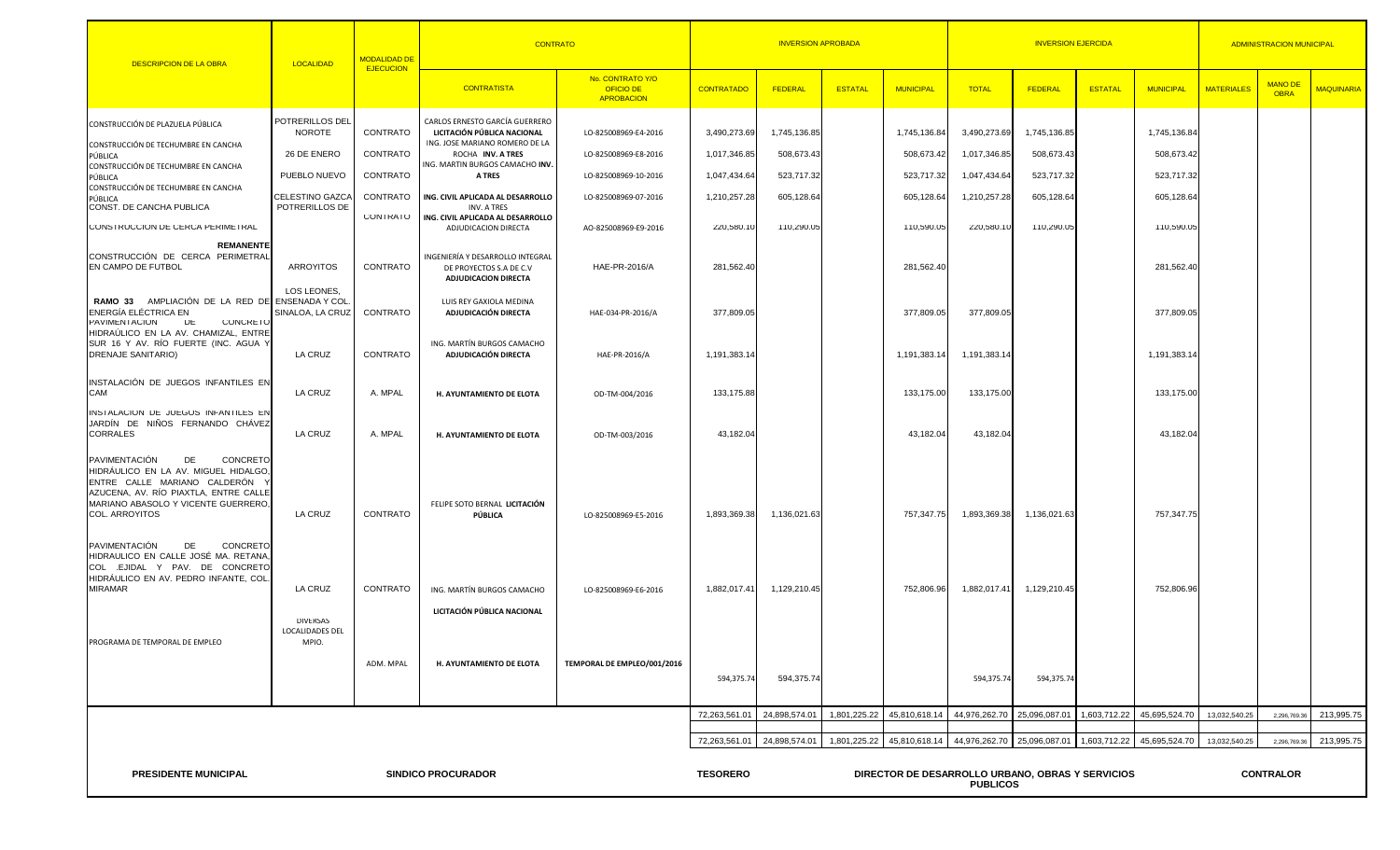| <b>DESCRIPCION DE LA OBRA</b>                                                                                                                                                                               | <b>LOCALIDAD</b>                            | <b>MODALIDAD DE</b><br><b>EJECUCION</b> | <b>CONTRATO</b>                                                                            |                                                           |                                                                     | <b>INVERSION APROBADA</b> |                |                  |               | <b>INVERSION EJERCIDA</b> | <b>ADMINISTRACION MUNICIPAL</b> |                  |                   |                               |                   |
|-------------------------------------------------------------------------------------------------------------------------------------------------------------------------------------------------------------|---------------------------------------------|-----------------------------------------|--------------------------------------------------------------------------------------------|-----------------------------------------------------------|---------------------------------------------------------------------|---------------------------|----------------|------------------|---------------|---------------------------|---------------------------------|------------------|-------------------|-------------------------------|-------------------|
|                                                                                                                                                                                                             |                                             |                                         | <b>CONTRATISTA</b>                                                                         | No. CONTRATO Y/O<br><b>OFICIO DE</b><br><b>APROBACION</b> | <b>CONTRATADO</b>                                                   | FEDERAL                   | <b>ESTATAL</b> | <b>MUNICIPAL</b> | <b>TOTAL</b>  | FEDERAL                   | <b>ESTATAL</b>                  | <b>MUNICIPAL</b> | <b>MATERIALES</b> | <b>MANO DE</b><br><b>OBRA</b> | <b>MAQUINARIA</b> |
| CONSTRUCCIÓN DE PLAZUELA PÚBLICA                                                                                                                                                                            | POTRERILLOS DEL<br>NOROTE                   | CONTRATO                                | CARLOS ERNESTO GARCÍA GUERRERO<br>LICITACIÓN PÚBLICA NACIONAL                              | LO-825008969-E4-2016                                      | 3,490,273.69                                                        | 1,745,136.85              |                | 1,745,136.84     | 3,490,273.69  | 1,745,136.85              |                                 | 1,745,136.84     |                   |                               |                   |
| CONSTRUCCIÓN DE TECHUMBRE EN CANCHA<br>PÚBLICA<br>CONSTRUCCIÓN DE TECHUMBRE EN CANCHA                                                                                                                       | 26 DE ENERO                                 | CONTRATO                                | ING. JOSE MARIANO ROMERO DE LA<br>ROCHA INV. A TRES<br>ING. MARTIN BURGOS CAMACHO INV      | LO-825008969-E8-2016                                      | 1,017,346.85                                                        | 508,673.43                |                | 508,673.42       | 1,017,346.85  | 508,673.43                |                                 | 508,673.42       |                   |                               |                   |
| PÚBLICA<br>CONSTRUCCIÓN DE TECHUMBRE EN CANCHA                                                                                                                                                              | PUEBLO NUEVO                                | CONTRATO                                | <b>A TRES</b>                                                                              | LO-825008969-10-2016                                      | 1,047,434.64                                                        | 523,717.32                |                | 523,717.32       | 1,047,434.64  | 523,717.32                |                                 | 523,717.32       |                   |                               |                   |
| PÚBLICA<br>CONST. DE CANCHA PUBLICA                                                                                                                                                                         | CELESTINO GAZCA<br>POTRERILLOS DE           | CONTRATO                                | ING. CIVIL APLICADA AL DESARROLLO<br><b>INV. A TRES</b>                                    | LO-825008969-07-2016                                      | 1,210,257.28                                                        | 605,128.64                |                | 605,128.64       | 1,210,257.28  | 605,128.64                |                                 | 605,128.64       |                   |                               |                   |
| CONSTRUCCION DE CERCA PERIMETRAL                                                                                                                                                                            |                                             | CONTRATO                                | ING. CIVIL APLICADA AL DESARROLLO<br>ADJUDICACION DIRECTA                                  | AO-825008969-E9-2016                                      | 220,580.10                                                          | 110,290.05                |                | 110,590.05       | 220,580.10    | 110,290.05                |                                 | 110,590.05       |                   |                               |                   |
| <b>REMANENTE</b><br>CONSTRUCCIÓN DE CERCA PERIMETRAL<br>EN CAMPO DE FUTBOL                                                                                                                                  | ARROYITOS                                   | CONTRATO                                | INGENIERÍA Y DESARROLLO INTEGRAL<br>DE PROYECTOS S.A DE C.V<br><b>ADJUDICACION DIRECTA</b> | HAE-PR-2016/A                                             | 281,562.40                                                          |                           |                | 281,562.40       |               |                           |                                 | 281,562.40       |                   |                               |                   |
| RAMO 33 AMPLIACIÓN DE LA RED DE ENSENADA Y COL<br>ENERGÍA ELÉCTRICA EN<br><b>PAVIMENTACION</b><br><b>DE</b><br><b>UUNUKETU</b>                                                                              | LOS LEONES,<br>SINALOA, LA CRUZ             | CONTRATO                                | LUIS REY GAXIOLA MEDINA<br>ADJUDICACIÓN DIRECTA                                            | HAE-034-PR-2016/A                                         | 377,809.05                                                          |                           |                | 377,809.05       | 377,809.05    |                           |                                 | 377,809.05       |                   |                               |                   |
| HIDRAÚLICO EN LA AV. CHAMIZAL, ENTRE<br>SUR 16 Y AV. RÍO FUERTE (INC. AGUA Y<br><b>DRENAJE SANITARIO)</b>                                                                                                   | LA CRUZ                                     | CONTRATO                                | ING. MARTÍN BURGOS CAMACHO<br>ADJUDICACIÓN DIRECTA                                         | HAE-PR-2016/A                                             | 1,191,383.14                                                        |                           |                | 1,191,383.14     | 1,191,383.14  |                           |                                 | 1,191,383.14     |                   |                               |                   |
| INSTALACIÓN DE JUEGOS INFANTILES EN<br>CAM                                                                                                                                                                  | LA CRUZ                                     | A. MPAL                                 | H. AYUNTAMIENTO DE ELOTA                                                                   | OD-TM-004/2016                                            | 133,175.88                                                          |                           |                | 133,175.00       | 133,175.00    |                           |                                 | 133,175.00       |                   |                               |                   |
| INSTALACION DE JUEGOS INFANTILES EN<br>JARDÍN DE NIÑOS FERNANDO CHÁVEZ<br><b>CORRALES</b>                                                                                                                   | LA CRUZ                                     | A. MPAL                                 | H. AYUNTAMIENTO DE ELOTA                                                                   | OD-TM-003/2016                                            | 43,182.04                                                           |                           |                | 43,182.04        | 43,182.04     |                           |                                 | 43,182.04        |                   |                               |                   |
| PAVIMENTACIÓN<br>DE<br>CONCRETO<br>HIDRÁULICO EN LA AV. MIGUEL HIDALGO,<br>ENTRE CALLE MARIANO CALDERÓN \<br>AZUCENA, AV. RÍO PIAXTLA, ENTRE CALLE<br>MARIANO ABASOLO Y VICENTE GUERRERO,<br>COL. ARROYITOS | LA CRUZ                                     | CONTRATO                                | FELIPE SOTO BERNAL LICITACIÓN<br>PÚBLICA                                                   | LO-825008969-E5-2016                                      | 1,893,369.38                                                        | 1,136,021.63              |                | 757,347.75       | 1,893,369.38  | 1,136,021.63              |                                 | 757,347.75       |                   |                               |                   |
| PAVIMENTACIÓN<br>DE<br>CONCRETO<br>HIDRAULICO EN CALLE JOSÉ MA. RETANA,<br>COL .EJIDAL Y PAV. DE CONCRETO<br>HIDRÁULICO EN AV. PEDRO INFANTE, COL.<br><b>MIRAMAR</b>                                        | LA CRUZ                                     | CONTRATO                                | ING. MARTIN BURGOS CAMACHO                                                                 | LO-825008969-E6-2016                                      | 1,882,017.41                                                        | 1,129,210.45              |                | 752,806.96       | 1,882,017.41  | 1,129,210.45              |                                 | 752,806.96       |                   |                               |                   |
| PROGRAMA DE TEMPORAL DE EMPLEO                                                                                                                                                                              | <b>DIVERSAS</b><br>LOCALIDADES DEL<br>MPIO. |                                         | LICITACIÓN PÚBLICA NACIONAL                                                                |                                                           |                                                                     |                           |                |                  |               |                           |                                 |                  |                   |                               |                   |
|                                                                                                                                                                                                             |                                             | ADM. MPAL                               | H. AYUNTAMIENTO DE ELOTA                                                                   | TEMPORAL DE EMPLEO/001/2016                               | 594,375.74                                                          | 594,375.74                |                |                  | 594,375.74    | 594,375.74                |                                 |                  |                   |                               |                   |
|                                                                                                                                                                                                             |                                             |                                         |                                                                                            |                                                           | 72,263,561.01                                                       | 24,898,574.01             | 1.801.225.22   | 45,810,618.14    | 44,976,262.70 | 25,096,087.01             | 1,603,712.22                    | 45,695,524.70    | 13,032,540.25     | 2,296,769.3                   | 213,995.75        |
|                                                                                                                                                                                                             |                                             |                                         |                                                                                            |                                                           | 72,263,561.01                                                       | 24,898,574.01             | 1,801,225.22   | 45,810,618.14    | 44,976,262.70 | 25,096,087.01             | 1,603,712.22                    | 45,695,524.70    | 13,032,540.25     | 2,296,769.3                   | 213,995.75        |
| <b>PRESIDENTE MUNICIPAL</b>                                                                                                                                                                                 | <b>TESORERO</b>                             |                                         |                                                                                            |                                                           | DIRECTOR DE DESARROLLO URBANO, OBRAS Y SERVICIOS<br><b>PUBLICOS</b> |                           |                |                  |               | <b>CONTRALOR</b>          |                                 |                  |                   |                               |                   |